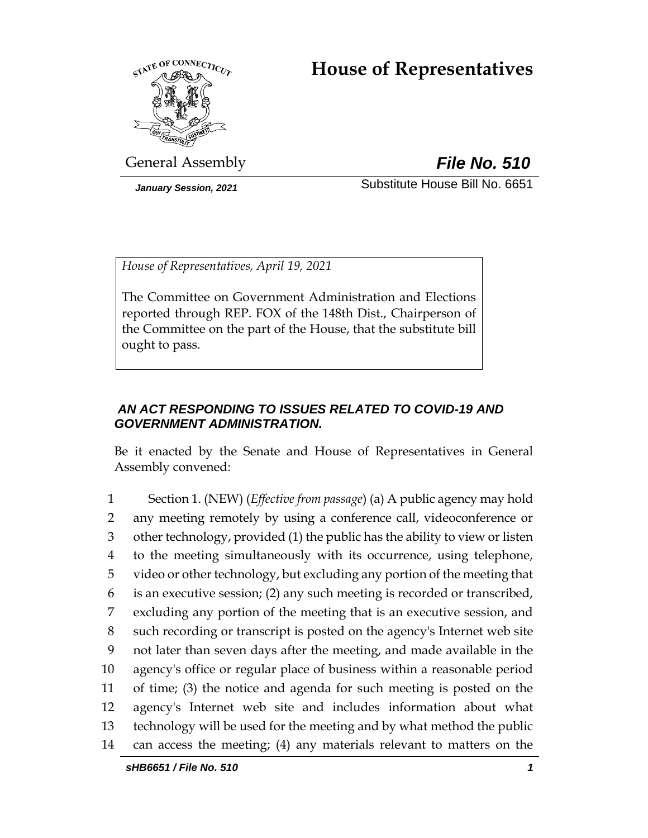# **House of Representatives**



General Assembly *File No. 510*

*January Session, 2021* Substitute House Bill No. 6651

*House of Representatives, April 19, 2021*

The Committee on Government Administration and Elections reported through REP. FOX of the 148th Dist., Chairperson of the Committee on the part of the House, that the substitute bill ought to pass.

# *AN ACT RESPONDING TO ISSUES RELATED TO COVID-19 AND GOVERNMENT ADMINISTRATION.*

Be it enacted by the Senate and House of Representatives in General Assembly convened:

 Section 1. (NEW) (*Effective from passage*) (a) A public agency may hold any meeting remotely by using a conference call, videoconference or other technology, provided (1) the public has the ability to view or listen to the meeting simultaneously with its occurrence, using telephone, video or other technology, but excluding any portion of the meeting that is an executive session; (2) any such meeting is recorded or transcribed, excluding any portion of the meeting that is an executive session, and such recording or transcript is posted on the agency's Internet web site not later than seven days after the meeting, and made available in the agency's office or regular place of business within a reasonable period of time; (3) the notice and agenda for such meeting is posted on the agency's Internet web site and includes information about what technology will be used for the meeting and by what method the public can access the meeting; (4) any materials relevant to matters on the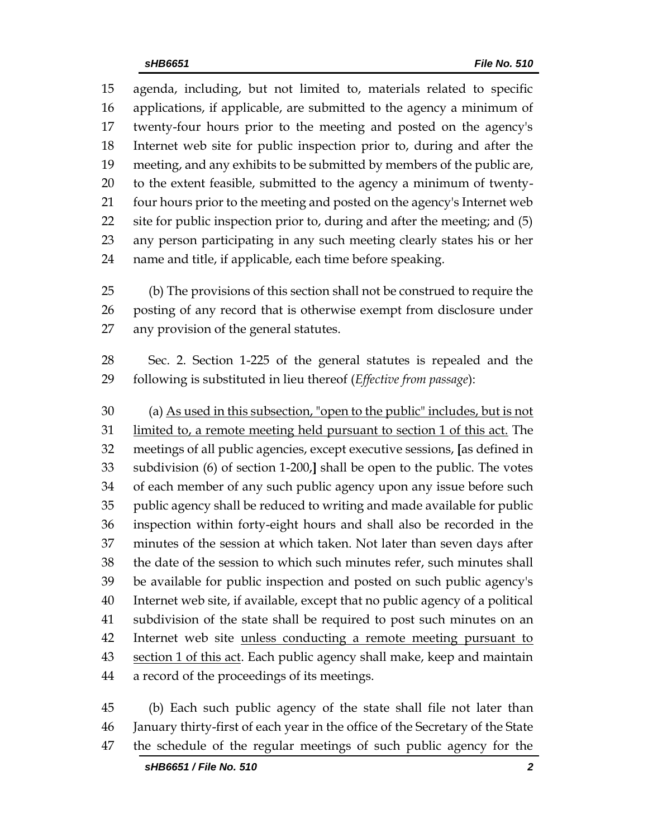agenda, including, but not limited to, materials related to specific applications, if applicable, are submitted to the agency a minimum of twenty-four hours prior to the meeting and posted on the agency's Internet web site for public inspection prior to, during and after the meeting, and any exhibits to be submitted by members of the public are, to the extent feasible, submitted to the agency a minimum of twenty-21 four hours prior to the meeting and posted on the agency's Internet web site for public inspection prior to, during and after the meeting; and (5) any person participating in any such meeting clearly states his or her name and title, if applicable, each time before speaking.

 (b) The provisions of this section shall not be construed to require the posting of any record that is otherwise exempt from disclosure under any provision of the general statutes.

 Sec. 2. Section 1-225 of the general statutes is repealed and the following is substituted in lieu thereof (*Effective from passage*):

 (a) As used in this subsection, "open to the public" includes, but is not 31 limited to, a remote meeting held pursuant to section 1 of this act. The meetings of all public agencies, except executive sessions, **[**as defined in subdivision (6) of section 1-200,**]** shall be open to the public. The votes of each member of any such public agency upon any issue before such public agency shall be reduced to writing and made available for public inspection within forty-eight hours and shall also be recorded in the minutes of the session at which taken. Not later than seven days after the date of the session to which such minutes refer, such minutes shall be available for public inspection and posted on such public agency's Internet web site, if available, except that no public agency of a political subdivision of the state shall be required to post such minutes on an 42 Internet web site unless conducting a remote meeting pursuant to 43 section 1 of this act. Each public agency shall make, keep and maintain a record of the proceedings of its meetings.

 (b) Each such public agency of the state shall file not later than January thirty-first of each year in the office of the Secretary of the State the schedule of the regular meetings of such public agency for the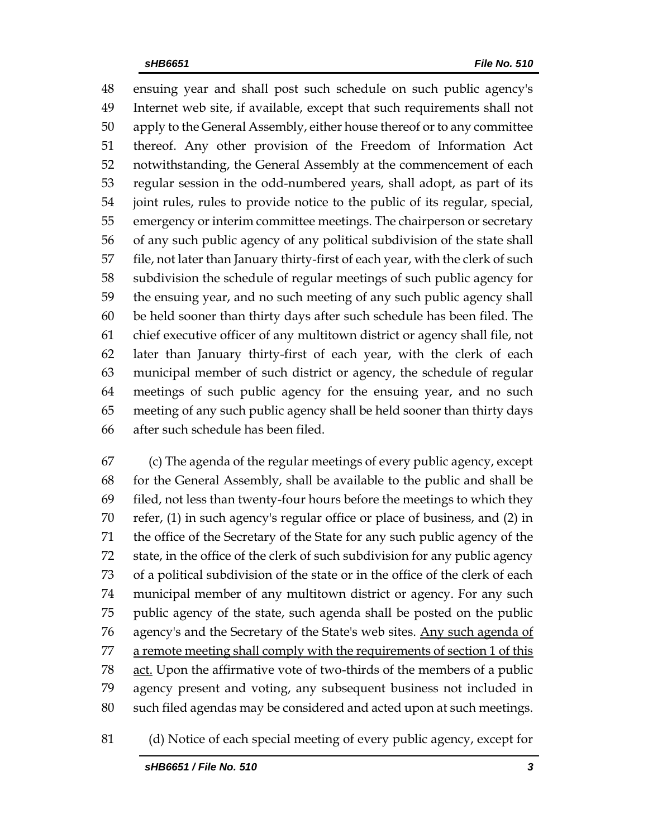ensuing year and shall post such schedule on such public agency's Internet web site, if available, except that such requirements shall not apply to the General Assembly, either house thereof or to any committee thereof. Any other provision of the Freedom of Information Act notwithstanding, the General Assembly at the commencement of each regular session in the odd-numbered years, shall adopt, as part of its joint rules, rules to provide notice to the public of its regular, special, emergency or interim committee meetings. The chairperson or secretary of any such public agency of any political subdivision of the state shall file, not later than January thirty-first of each year, with the clerk of such subdivision the schedule of regular meetings of such public agency for the ensuing year, and no such meeting of any such public agency shall be held sooner than thirty days after such schedule has been filed. The chief executive officer of any multitown district or agency shall file, not later than January thirty-first of each year, with the clerk of each municipal member of such district or agency, the schedule of regular meetings of such public agency for the ensuing year, and no such meeting of any such public agency shall be held sooner than thirty days after such schedule has been filed.

 (c) The agenda of the regular meetings of every public agency, except for the General Assembly, shall be available to the public and shall be filed, not less than twenty-four hours before the meetings to which they refer, (1) in such agency's regular office or place of business, and (2) in the office of the Secretary of the State for any such public agency of the state, in the office of the clerk of such subdivision for any public agency of a political subdivision of the state or in the office of the clerk of each municipal member of any multitown district or agency. For any such public agency of the state, such agenda shall be posted on the public 76 agency's and the Secretary of the State's web sites. Any such agenda of 77 a remote meeting shall comply with the requirements of section 1 of this act. Upon the affirmative vote of two-thirds of the members of a public agency present and voting, any subsequent business not included in such filed agendas may be considered and acted upon at such meetings.

(d) Notice of each special meeting of every public agency, except for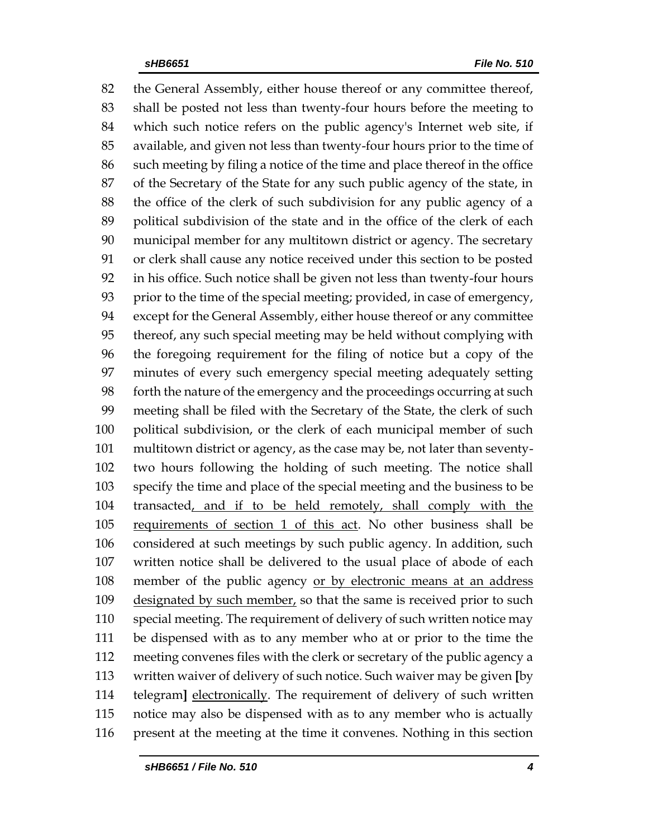the General Assembly, either house thereof or any committee thereof, shall be posted not less than twenty-four hours before the meeting to which such notice refers on the public agency's Internet web site, if available, and given not less than twenty-four hours prior to the time of such meeting by filing a notice of the time and place thereof in the office of the Secretary of the State for any such public agency of the state, in the office of the clerk of such subdivision for any public agency of a political subdivision of the state and in the office of the clerk of each municipal member for any multitown district or agency. The secretary or clerk shall cause any notice received under this section to be posted in his office. Such notice shall be given not less than twenty-four hours prior to the time of the special meeting; provided, in case of emergency, except for the General Assembly, either house thereof or any committee thereof, any such special meeting may be held without complying with the foregoing requirement for the filing of notice but a copy of the minutes of every such emergency special meeting adequately setting forth the nature of the emergency and the proceedings occurring at such meeting shall be filed with the Secretary of the State, the clerk of such political subdivision, or the clerk of each municipal member of such multitown district or agency, as the case may be, not later than seventy- two hours following the holding of such meeting. The notice shall specify the time and place of the special meeting and the business to be transacted, and if to be held remotely, shall comply with the requirements of section 1 of this act. No other business shall be considered at such meetings by such public agency. In addition, such written notice shall be delivered to the usual place of abode of each member of the public agency or by electronic means at an address 109 designated by such member, so that the same is received prior to such special meeting. The requirement of delivery of such written notice may be dispensed with as to any member who at or prior to the time the meeting convenes files with the clerk or secretary of the public agency a written waiver of delivery of such notice. Such waiver may be given **[**by telegram**]** electronically. The requirement of delivery of such written notice may also be dispensed with as to any member who is actually present at the meeting at the time it convenes. Nothing in this section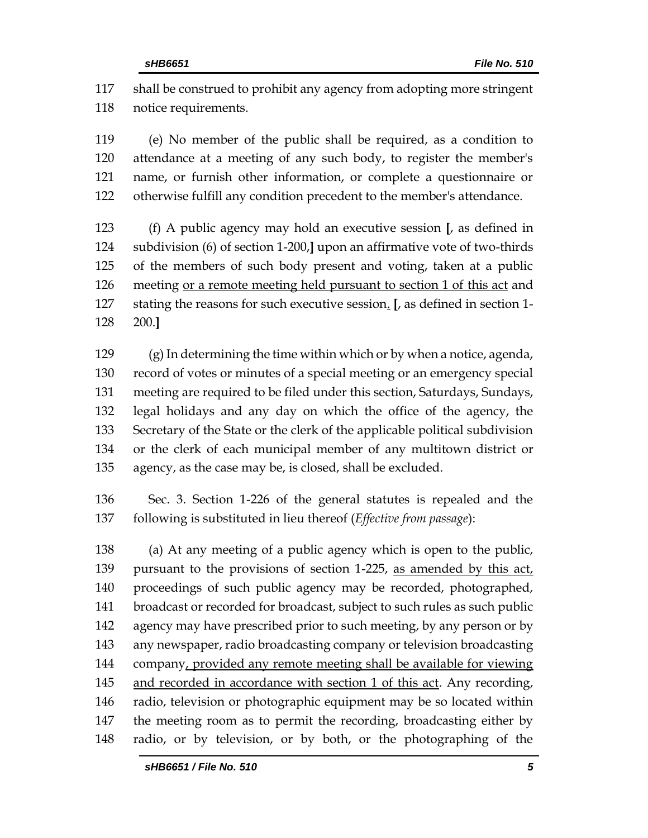shall be construed to prohibit any agency from adopting more stringent notice requirements.

 (e) No member of the public shall be required, as a condition to attendance at a meeting of any such body, to register the member's name, or furnish other information, or complete a questionnaire or otherwise fulfill any condition precedent to the member's attendance.

 (f) A public agency may hold an executive session **[**, as defined in subdivision (6) of section 1-200,**]** upon an affirmative vote of two-thirds of the members of such body present and voting, taken at a public meeting or a remote meeting held pursuant to section 1 of this act and stating the reasons for such executive session. **[**, as defined in section 1- 200.**]**

 (g) In determining the time within which or by when a notice, agenda, record of votes or minutes of a special meeting or an emergency special meeting are required to be filed under this section, Saturdays, Sundays, legal holidays and any day on which the office of the agency, the Secretary of the State or the clerk of the applicable political subdivision or the clerk of each municipal member of any multitown district or agency, as the case may be, is closed, shall be excluded.

 Sec. 3. Section 1-226 of the general statutes is repealed and the following is substituted in lieu thereof (*Effective from passage*):

 (a) At any meeting of a public agency which is open to the public, 139 pursuant to the provisions of section 1-225, as amended by this act, proceedings of such public agency may be recorded, photographed, broadcast or recorded for broadcast, subject to such rules as such public 142 agency may have prescribed prior to such meeting, by any person or by any newspaper, radio broadcasting company or television broadcasting company, provided any remote meeting shall be available for viewing and recorded in accordance with section 1 of this act. Any recording, radio, television or photographic equipment may be so located within the meeting room as to permit the recording, broadcasting either by radio, or by television, or by both, or the photographing of the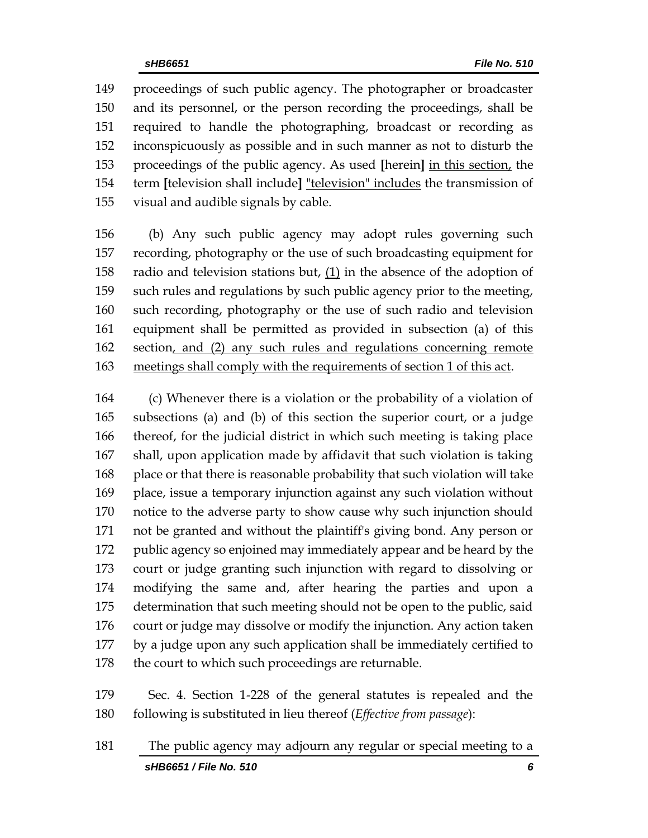proceedings of such public agency. The photographer or broadcaster and its personnel, or the person recording the proceedings, shall be required to handle the photographing, broadcast or recording as inconspicuously as possible and in such manner as not to disturb the proceedings of the public agency. As used **[**herein**]** in this section, the term **[**television shall include**]** "television" includes the transmission of visual and audible signals by cable.

 (b) Any such public agency may adopt rules governing such recording, photography or the use of such broadcasting equipment for radio and television stations but, (1) in the absence of the adoption of such rules and regulations by such public agency prior to the meeting, such recording, photography or the use of such radio and television equipment shall be permitted as provided in subsection (a) of this section, and (2) any such rules and regulations concerning remote meetings shall comply with the requirements of section 1 of this act.

 (c) Whenever there is a violation or the probability of a violation of subsections (a) and (b) of this section the superior court, or a judge thereof, for the judicial district in which such meeting is taking place shall, upon application made by affidavit that such violation is taking place or that there is reasonable probability that such violation will take place, issue a temporary injunction against any such violation without notice to the adverse party to show cause why such injunction should not be granted and without the plaintiff's giving bond. Any person or public agency so enjoined may immediately appear and be heard by the court or judge granting such injunction with regard to dissolving or modifying the same and, after hearing the parties and upon a determination that such meeting should not be open to the public, said court or judge may dissolve or modify the injunction. Any action taken by a judge upon any such application shall be immediately certified to 178 the court to which such proceedings are returnable.

 Sec. 4. Section 1-228 of the general statutes is repealed and the following is substituted in lieu thereof (*Effective from passage*):

*sHB6651 / File No. 510 6* The public agency may adjourn any regular or special meeting to a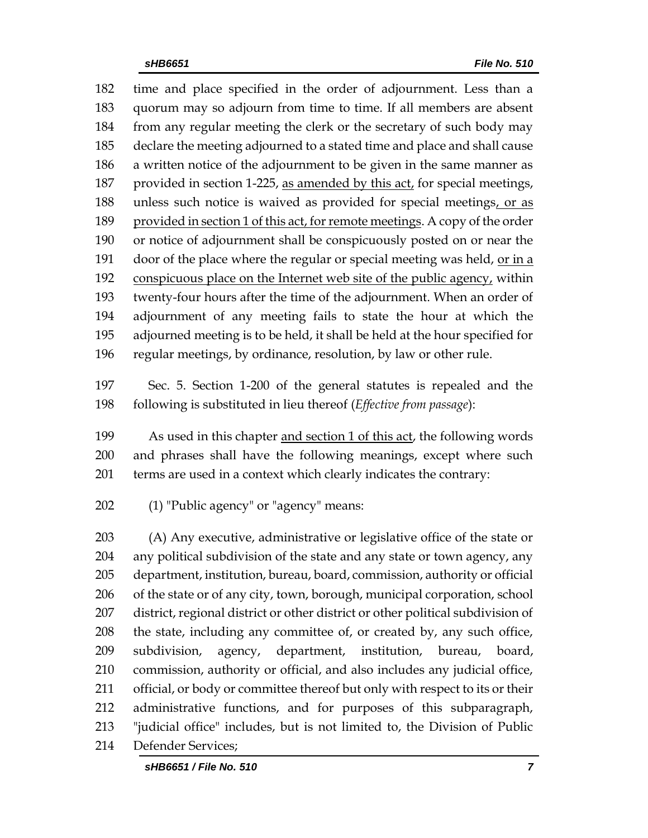time and place specified in the order of adjournment. Less than a quorum may so adjourn from time to time. If all members are absent from any regular meeting the clerk or the secretary of such body may declare the meeting adjourned to a stated time and place and shall cause a written notice of the adjournment to be given in the same manner as 187 provided in section 1-225, as amended by this act, for special meetings, 188 unless such notice is waived as provided for special meetings, or as provided in section 1 of this act, for remote meetings. A copy of the order or notice of adjournment shall be conspicuously posted on or near the door of the place where the regular or special meeting was held, or in a conspicuous place on the Internet web site of the public agency, within twenty-four hours after the time of the adjournment. When an order of adjournment of any meeting fails to state the hour at which the adjourned meeting is to be held, it shall be held at the hour specified for regular meetings, by ordinance, resolution, by law or other rule.

 Sec. 5. Section 1-200 of the general statutes is repealed and the following is substituted in lieu thereof (*Effective from passage*):

 As used in this chapter and section 1 of this act, the following words and phrases shall have the following meanings, except where such terms are used in a context which clearly indicates the contrary:

(1) "Public agency" or "agency" means:

 (A) Any executive, administrative or legislative office of the state or any political subdivision of the state and any state or town agency, any department, institution, bureau, board, commission, authority or official of the state or of any city, town, borough, municipal corporation, school district, regional district or other district or other political subdivision of the state, including any committee of, or created by, any such office, subdivision, agency, department, institution, bureau, board, commission, authority or official, and also includes any judicial office, official, or body or committee thereof but only with respect to its or their administrative functions, and for purposes of this subparagraph, "judicial office" includes, but is not limited to, the Division of Public Defender Services;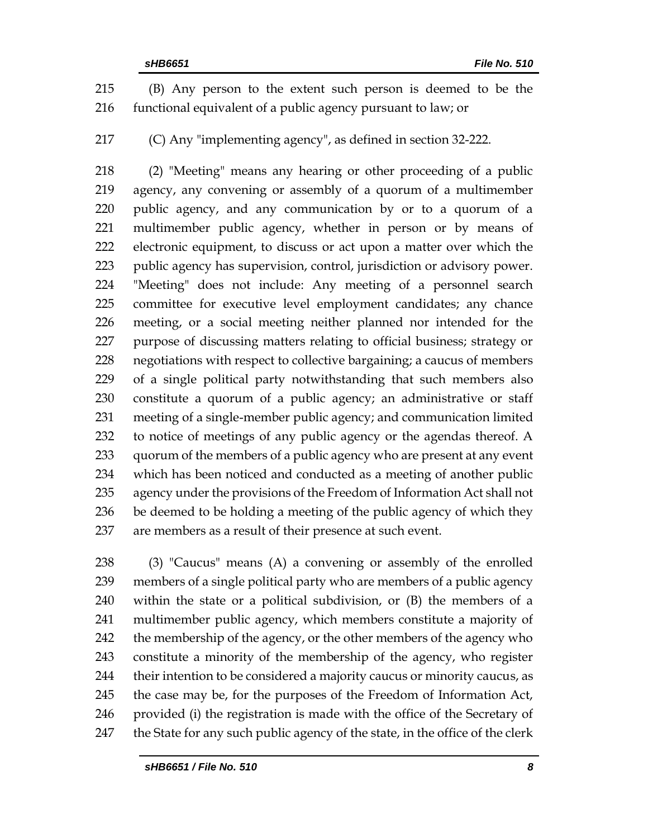(B) Any person to the extent such person is deemed to be the functional equivalent of a public agency pursuant to law; or

(C) Any "implementing agency", as defined in section 32-222.

 (2) "Meeting" means any hearing or other proceeding of a public agency, any convening or assembly of a quorum of a multimember public agency, and any communication by or to a quorum of a multimember public agency, whether in person or by means of electronic equipment, to discuss or act upon a matter over which the public agency has supervision, control, jurisdiction or advisory power. "Meeting" does not include: Any meeting of a personnel search committee for executive level employment candidates; any chance meeting, or a social meeting neither planned nor intended for the purpose of discussing matters relating to official business; strategy or negotiations with respect to collective bargaining; a caucus of members of a single political party notwithstanding that such members also constitute a quorum of a public agency; an administrative or staff meeting of a single-member public agency; and communication limited to notice of meetings of any public agency or the agendas thereof. A quorum of the members of a public agency who are present at any event which has been noticed and conducted as a meeting of another public agency under the provisions of the Freedom of Information Act shall not be deemed to be holding a meeting of the public agency of which they are members as a result of their presence at such event.

 (3) "Caucus" means (A) a convening or assembly of the enrolled members of a single political party who are members of a public agency within the state or a political subdivision, or (B) the members of a multimember public agency, which members constitute a majority of 242 the membership of the agency, or the other members of the agency who constitute a minority of the membership of the agency, who register their intention to be considered a majority caucus or minority caucus, as the case may be, for the purposes of the Freedom of Information Act, provided (i) the registration is made with the office of the Secretary of 247 the State for any such public agency of the state, in the office of the clerk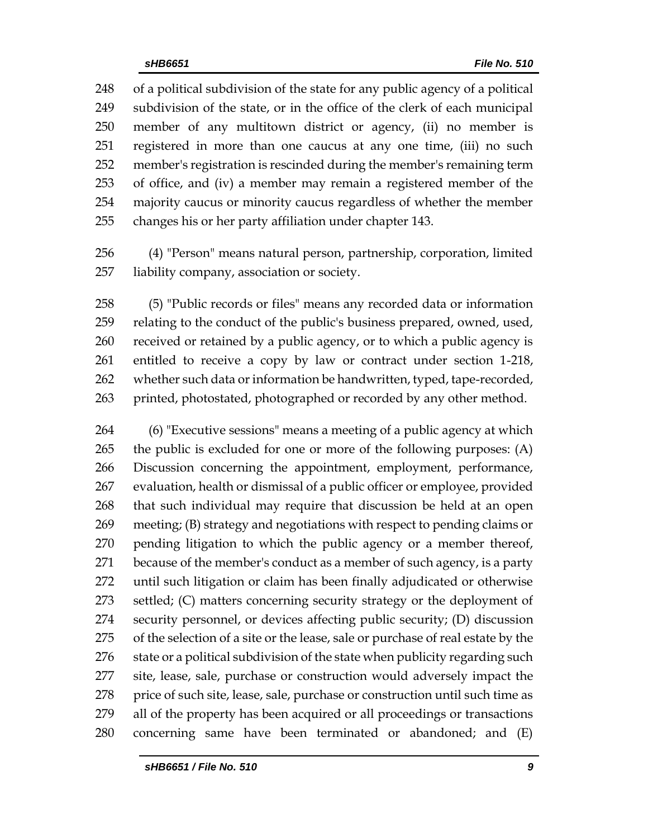of a political subdivision of the state for any public agency of a political subdivision of the state, or in the office of the clerk of each municipal member of any multitown district or agency, (ii) no member is registered in more than one caucus at any one time, (iii) no such member's registration is rescinded during the member's remaining term of office, and (iv) a member may remain a registered member of the majority caucus or minority caucus regardless of whether the member changes his or her party affiliation under chapter 143.

 (4) "Person" means natural person, partnership, corporation, limited liability company, association or society.

 (5) "Public records or files" means any recorded data or information relating to the conduct of the public's business prepared, owned, used, received or retained by a public agency, or to which a public agency is entitled to receive a copy by law or contract under section 1-218, whether such data or information be handwritten, typed, tape-recorded, 263 printed, photostated, photographed or recorded by any other method.

 (6) "Executive sessions" means a meeting of a public agency at which the public is excluded for one or more of the following purposes: (A) Discussion concerning the appointment, employment, performance, evaluation, health or dismissal of a public officer or employee, provided that such individual may require that discussion be held at an open meeting; (B) strategy and negotiations with respect to pending claims or pending litigation to which the public agency or a member thereof, because of the member's conduct as a member of such agency, is a party until such litigation or claim has been finally adjudicated or otherwise settled; (C) matters concerning security strategy or the deployment of security personnel, or devices affecting public security; (D) discussion of the selection of a site or the lease, sale or purchase of real estate by the 276 state or a political subdivision of the state when publicity regarding such site, lease, sale, purchase or construction would adversely impact the 278 price of such site, lease, sale, purchase or construction until such time as all of the property has been acquired or all proceedings or transactions concerning same have been terminated or abandoned; and (E)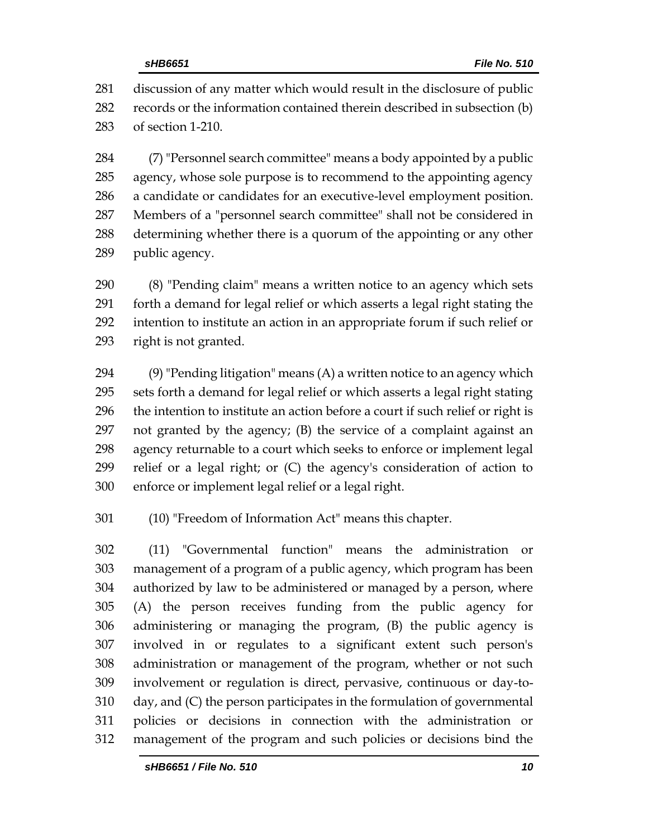discussion of any matter which would result in the disclosure of public records or the information contained therein described in subsection (b) of section 1-210.

 (7) "Personnel search committee" means a body appointed by a public agency, whose sole purpose is to recommend to the appointing agency a candidate or candidates for an executive-level employment position. Members of a "personnel search committee" shall not be considered in determining whether there is a quorum of the appointing or any other public agency.

 (8) "Pending claim" means a written notice to an agency which sets forth a demand for legal relief or which asserts a legal right stating the intention to institute an action in an appropriate forum if such relief or right is not granted.

 $(9)$  "Pending litigation" means  $(A)$  a written notice to an agency which sets forth a demand for legal relief or which asserts a legal right stating the intention to institute an action before a court if such relief or right is not granted by the agency; (B) the service of a complaint against an agency returnable to a court which seeks to enforce or implement legal relief or a legal right; or (C) the agency's consideration of action to enforce or implement legal relief or a legal right.

(10) "Freedom of Information Act" means this chapter.

 (11) "Governmental function" means the administration or management of a program of a public agency, which program has been authorized by law to be administered or managed by a person, where (A) the person receives funding from the public agency for administering or managing the program, (B) the public agency is involved in or regulates to a significant extent such person's administration or management of the program, whether or not such involvement or regulation is direct, pervasive, continuous or day-to- day, and (C) the person participates in the formulation of governmental policies or decisions in connection with the administration or management of the program and such policies or decisions bind the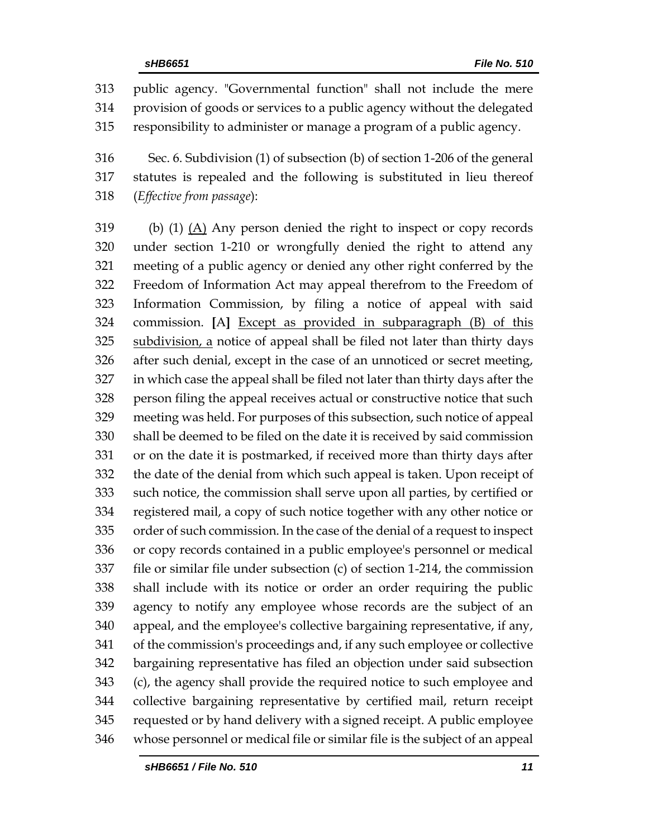public agency. "Governmental function" shall not include the mere provision of goods or services to a public agency without the delegated responsibility to administer or manage a program of a public agency.

 Sec. 6. Subdivision (1) of subsection (b) of section 1-206 of the general statutes is repealed and the following is substituted in lieu thereof (*Effective from passage*):

 (b) (1) (A) Any person denied the right to inspect or copy records under section 1-210 or wrongfully denied the right to attend any meeting of a public agency or denied any other right conferred by the Freedom of Information Act may appeal therefrom to the Freedom of Information Commission, by filing a notice of appeal with said commission. **[**A**]** Except as provided in subparagraph (B) of this 325 subdivision, a notice of appeal shall be filed not later than thirty days after such denial, except in the case of an unnoticed or secret meeting, in which case the appeal shall be filed not later than thirty days after the person filing the appeal receives actual or constructive notice that such meeting was held. For purposes of this subsection, such notice of appeal shall be deemed to be filed on the date it is received by said commission or on the date it is postmarked, if received more than thirty days after the date of the denial from which such appeal is taken. Upon receipt of such notice, the commission shall serve upon all parties, by certified or registered mail, a copy of such notice together with any other notice or order of such commission. In the case of the denial of a request to inspect or copy records contained in a public employee's personnel or medical file or similar file under subsection (c) of section 1-214, the commission shall include with its notice or order an order requiring the public agency to notify any employee whose records are the subject of an appeal, and the employee's collective bargaining representative, if any, of the commission's proceedings and, if any such employee or collective bargaining representative has filed an objection under said subsection (c), the agency shall provide the required notice to such employee and collective bargaining representative by certified mail, return receipt requested or by hand delivery with a signed receipt. A public employee whose personnel or medical file or similar file is the subject of an appeal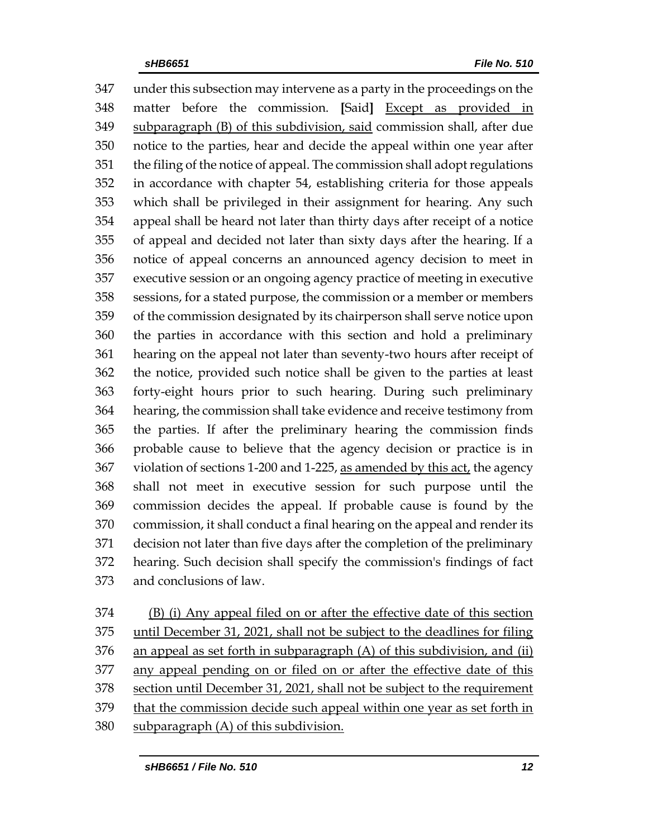under this subsection may intervene as a party in the proceedings on the matter before the commission. **[**Said**]** Except as provided in subparagraph (B) of this subdivision, said commission shall, after due notice to the parties, hear and decide the appeal within one year after the filing of the notice of appeal. The commission shall adopt regulations in accordance with chapter 54, establishing criteria for those appeals which shall be privileged in their assignment for hearing. Any such appeal shall be heard not later than thirty days after receipt of a notice of appeal and decided not later than sixty days after the hearing. If a notice of appeal concerns an announced agency decision to meet in executive session or an ongoing agency practice of meeting in executive sessions, for a stated purpose, the commission or a member or members of the commission designated by its chairperson shall serve notice upon the parties in accordance with this section and hold a preliminary hearing on the appeal not later than seventy-two hours after receipt of the notice, provided such notice shall be given to the parties at least forty-eight hours prior to such hearing. During such preliminary hearing, the commission shall take evidence and receive testimony from the parties. If after the preliminary hearing the commission finds probable cause to believe that the agency decision or practice is in violation of sections 1-200 and 1-225, as amended by this act, the agency shall not meet in executive session for such purpose until the commission decides the appeal. If probable cause is found by the commission, it shall conduct a final hearing on the appeal and render its decision not later than five days after the completion of the preliminary hearing. Such decision shall specify the commission's findings of fact and conclusions of law.

 (B) (i) Any appeal filed on or after the effective date of this section until December 31, 2021, shall not be subject to the deadlines for filing 376 an appeal as set forth in subparagraph  $(A)$  of this subdivision, and (ii) any appeal pending on or filed on or after the effective date of this section until December 31, 2021, shall not be subject to the requirement that the commission decide such appeal within one year as set forth in subparagraph (A) of this subdivision.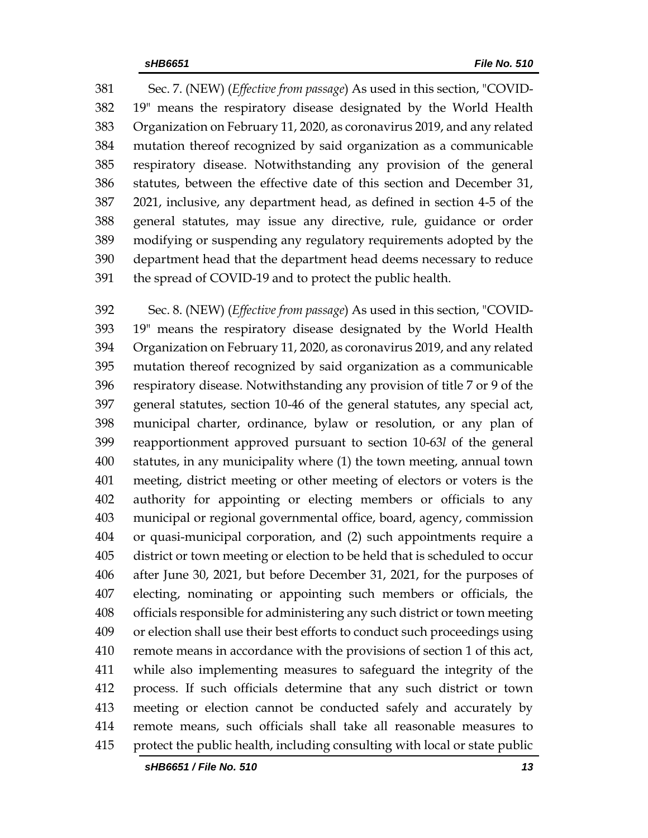Sec. 7. (NEW) (*Effective from passage*) As used in this section, "COVID- 19" means the respiratory disease designated by the World Health Organization on February 11, 2020, as coronavirus 2019, and any related mutation thereof recognized by said organization as a communicable respiratory disease. Notwithstanding any provision of the general statutes, between the effective date of this section and December 31, 2021, inclusive, any department head, as defined in section 4-5 of the general statutes, may issue any directive, rule, guidance or order modifying or suspending any regulatory requirements adopted by the department head that the department head deems necessary to reduce the spread of COVID-19 and to protect the public health.

 Sec. 8. (NEW) (*Effective from passage*) As used in this section, "COVID- 19" means the respiratory disease designated by the World Health Organization on February 11, 2020, as coronavirus 2019, and any related mutation thereof recognized by said organization as a communicable respiratory disease. Notwithstanding any provision of title 7 or 9 of the general statutes, section 10-46 of the general statutes, any special act, municipal charter, ordinance, bylaw or resolution, or any plan of reapportionment approved pursuant to section 10-63*l* of the general statutes, in any municipality where (1) the town meeting, annual town meeting, district meeting or other meeting of electors or voters is the authority for appointing or electing members or officials to any municipal or regional governmental office, board, agency, commission or quasi-municipal corporation, and (2) such appointments require a district or town meeting or election to be held that is scheduled to occur after June 30, 2021, but before December 31, 2021, for the purposes of electing, nominating or appointing such members or officials, the officials responsible for administering any such district or town meeting or election shall use their best efforts to conduct such proceedings using remote means in accordance with the provisions of section 1 of this act, while also implementing measures to safeguard the integrity of the process. If such officials determine that any such district or town meeting or election cannot be conducted safely and accurately by remote means, such officials shall take all reasonable measures to protect the public health, including consulting with local or state public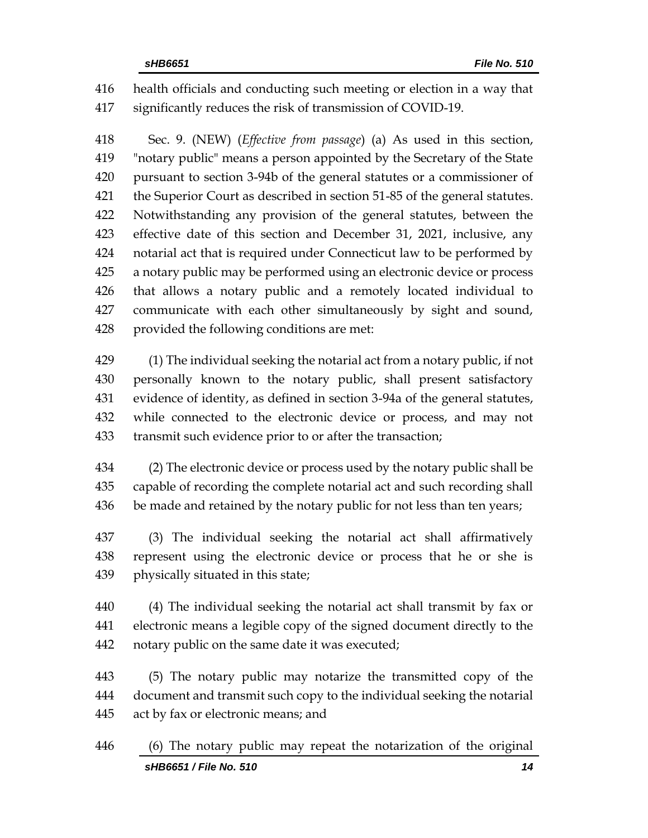health officials and conducting such meeting or election in a way that significantly reduces the risk of transmission of COVID-19.

 Sec. 9. (NEW) (*Effective from passage*) (a) As used in this section, "notary public" means a person appointed by the Secretary of the State pursuant to section 3-94b of the general statutes or a commissioner of the Superior Court as described in section 51-85 of the general statutes. Notwithstanding any provision of the general statutes, between the effective date of this section and December 31, 2021, inclusive, any notarial act that is required under Connecticut law to be performed by a notary public may be performed using an electronic device or process that allows a notary public and a remotely located individual to communicate with each other simultaneously by sight and sound, provided the following conditions are met:

 (1) The individual seeking the notarial act from a notary public, if not personally known to the notary public, shall present satisfactory evidence of identity, as defined in section 3-94a of the general statutes, while connected to the electronic device or process, and may not transmit such evidence prior to or after the transaction;

 (2) The electronic device or process used by the notary public shall be capable of recording the complete notarial act and such recording shall 436 be made and retained by the notary public for not less than ten years;

 (3) The individual seeking the notarial act shall affirmatively represent using the electronic device or process that he or she is physically situated in this state;

 (4) The individual seeking the notarial act shall transmit by fax or electronic means a legible copy of the signed document directly to the notary public on the same date it was executed;

 (5) The notary public may notarize the transmitted copy of the document and transmit such copy to the individual seeking the notarial act by fax or electronic means; and

*sHB6651 / File No. 510 14* (6) The notary public may repeat the notarization of the original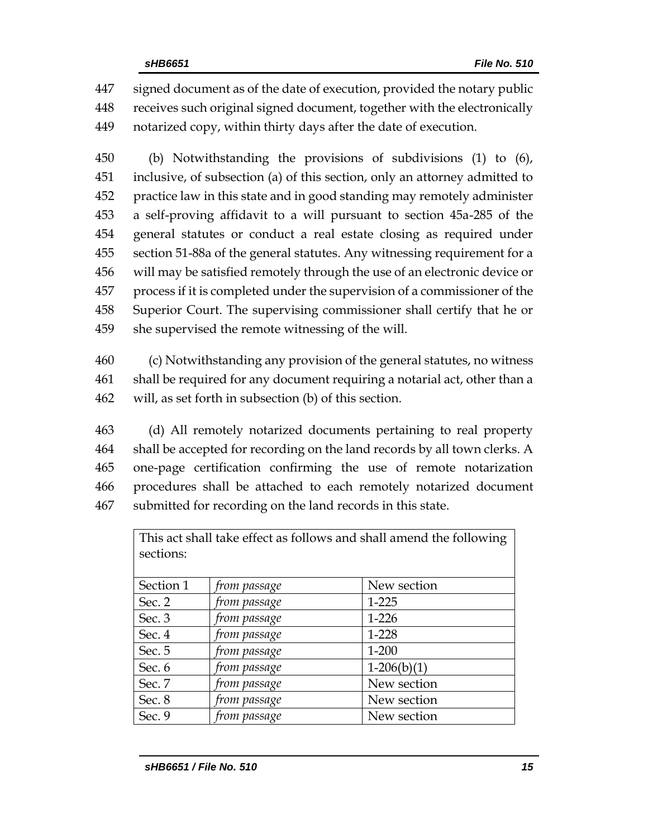signed document as of the date of execution, provided the notary public receives such original signed document, together with the electronically notarized copy, within thirty days after the date of execution.

 (b) Notwithstanding the provisions of subdivisions (1) to (6), inclusive, of subsection (a) of this section, only an attorney admitted to practice law in this state and in good standing may remotely administer a self-proving affidavit to a will pursuant to section 45a-285 of the general statutes or conduct a real estate closing as required under section 51-88a of the general statutes. Any witnessing requirement for a will may be satisfied remotely through the use of an electronic device or process if it is completed under the supervision of a commissioner of the Superior Court. The supervising commissioner shall certify that he or she supervised the remote witnessing of the will.

 (c) Notwithstanding any provision of the general statutes, no witness shall be required for any document requiring a notarial act, other than a will, as set forth in subsection (b) of this section.

 (d) All remotely notarized documents pertaining to real property shall be accepted for recording on the land records by all town clerks. A one-page certification confirming the use of remote notarization procedures shall be attached to each remotely notarized document submitted for recording on the land records in this state.

| This act shall take effect as follows and shall amend the following<br>sections: |              |               |
|----------------------------------------------------------------------------------|--------------|---------------|
|                                                                                  |              |               |
| Section 1                                                                        | from passage | New section   |
| Sec. 2                                                                           | from passage | 1-225         |
| Sec. 3                                                                           | from passage | $1 - 226$     |
| Sec. 4                                                                           | from passage | 1-228         |
| Sec. 5                                                                           | from passage | $1 - 200$     |
| Sec. 6                                                                           | from passage | $1-206(b)(1)$ |
| Sec. 7                                                                           | from passage | New section   |
| Sec. 8                                                                           | from passage | New section   |
| Sec. 9                                                                           | from passage | New section   |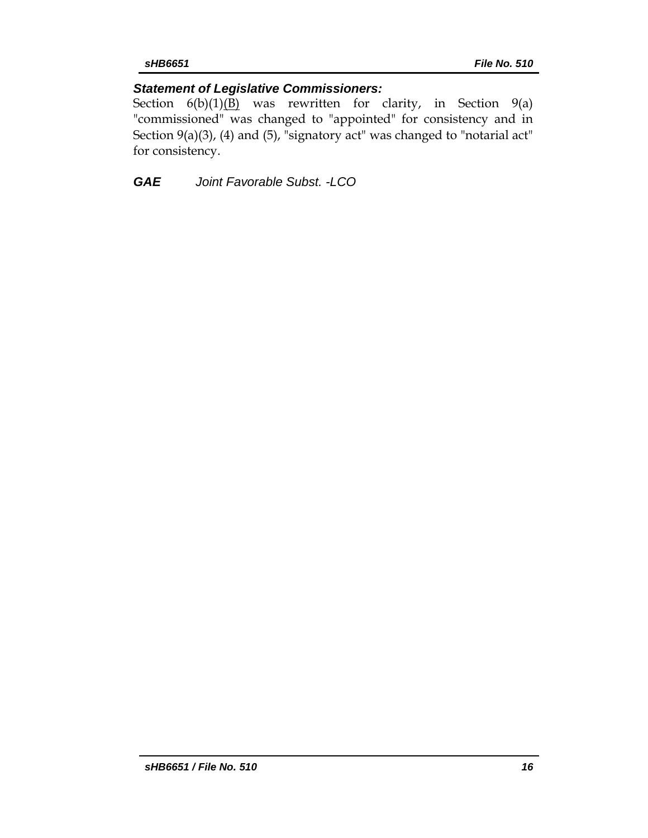# *Statement of Legislative Commissioners:*

Section  $6(b)(1)(B)$  was rewritten for clarity, in Section 9(a) "commissioned" was changed to "appointed" for consistency and in Section  $9(a)(3)$ , (4) and (5), "signatory act" was changed to "notarial act" for consistency.

*GAE Joint Favorable Subst. -LCO*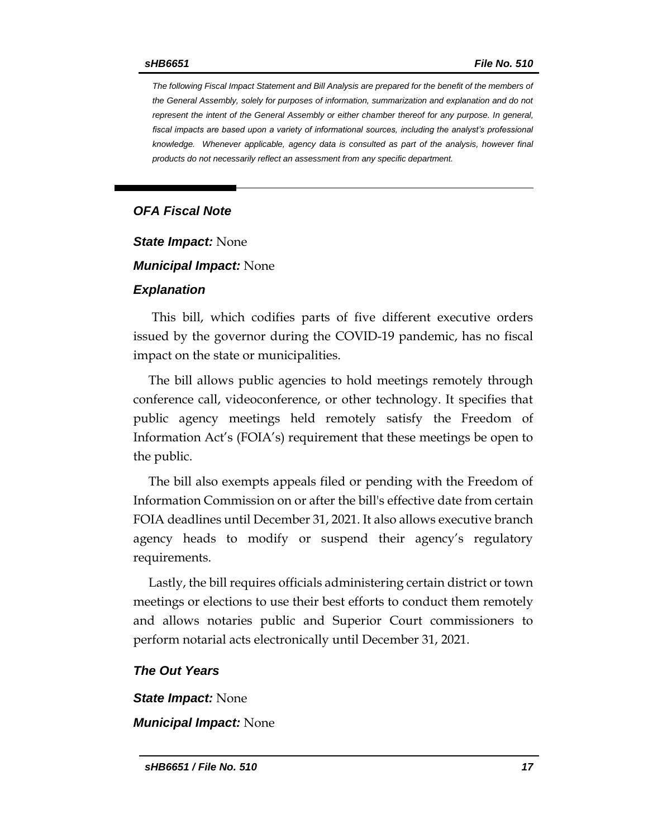*The following Fiscal Impact Statement and Bill Analysis are prepared for the benefit of the members of the General Assembly, solely for purposes of information, summarization and explanation and do not represent the intent of the General Assembly or either chamber thereof for any purpose. In general,*  fiscal impacts are based upon a variety of informational sources, including the analyst's professional *knowledge. Whenever applicable, agency data is consulted as part of the analysis, however final products do not necessarily reflect an assessment from any specific department.*

#### *OFA Fiscal Note*

*State Impact:* None

*Municipal Impact:* None

#### *Explanation*

This bill, which codifies parts of five different executive orders issued by the governor during the COVID-19 pandemic, has no fiscal impact on the state or municipalities.

The bill allows public agencies to hold meetings remotely through conference call, videoconference, or other technology. It specifies that public agency meetings held remotely satisfy the Freedom of Information Act's (FOIA's) requirement that these meetings be open to the public.

The bill also exempts appeals filed or pending with the Freedom of Information Commission on or after the bill's effective date from certain FOIA deadlines until December 31, 2021. It also allows executive branch agency heads to modify or suspend their agency's regulatory requirements.

Lastly, the bill requires officials administering certain district or town meetings or elections to use their best efforts to conduct them remotely and allows notaries public and Superior Court commissioners to perform notarial acts electronically until December 31, 2021.

#### *The Out Years*

*State Impact:* None

*Municipal Impact:* None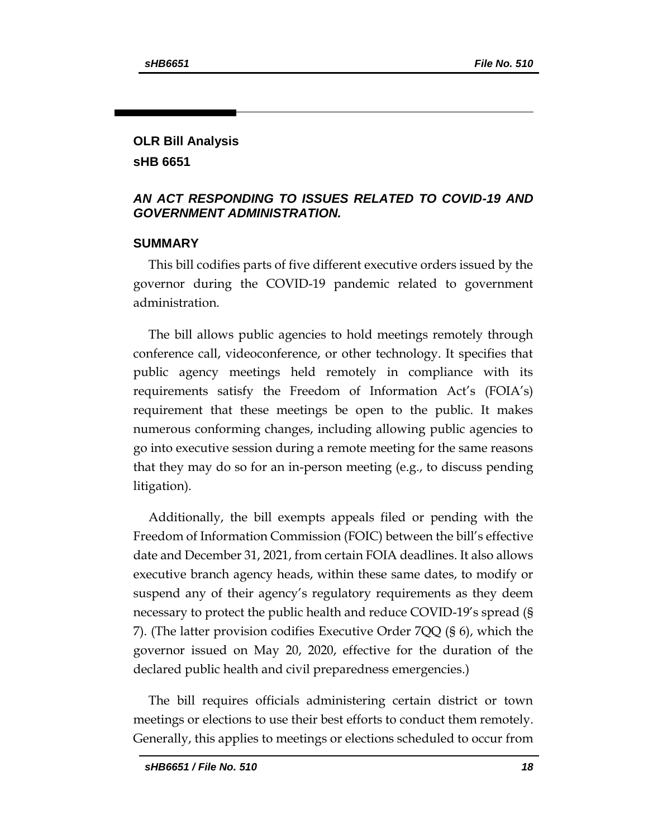### **OLR Bill Analysis sHB 6651**

### *AN ACT RESPONDING TO ISSUES RELATED TO COVID-19 AND GOVERNMENT ADMINISTRATION.*

### **SUMMARY**

This bill codifies parts of five different executive orders issued by the governor during the COVID-19 pandemic related to government administration.

The bill allows public agencies to hold meetings remotely through conference call, videoconference, or other technology. It specifies that public agency meetings held remotely in compliance with its requirements satisfy the Freedom of Information Act's (FOIA's) requirement that these meetings be open to the public. It makes numerous conforming changes, including allowing public agencies to go into executive session during a remote meeting for the same reasons that they may do so for an in-person meeting (e.g., to discuss pending litigation).

Additionally, the bill exempts appeals filed or pending with the Freedom of Information Commission (FOIC) between the bill's effective date and December 31, 2021, from certain FOIA deadlines. It also allows executive branch agency heads, within these same dates, to modify or suspend any of their agency's regulatory requirements as they deem necessary to protect the public health and reduce COVID-19's spread (§ 7). (The latter provision codifies Executive Order 7QQ (§ 6), which the governor issued on May 20, 2020, effective for the duration of the declared public health and civil preparedness emergencies.)

The bill requires officials administering certain district or town meetings or elections to use their best efforts to conduct them remotely. Generally, this applies to meetings or elections scheduled to occur from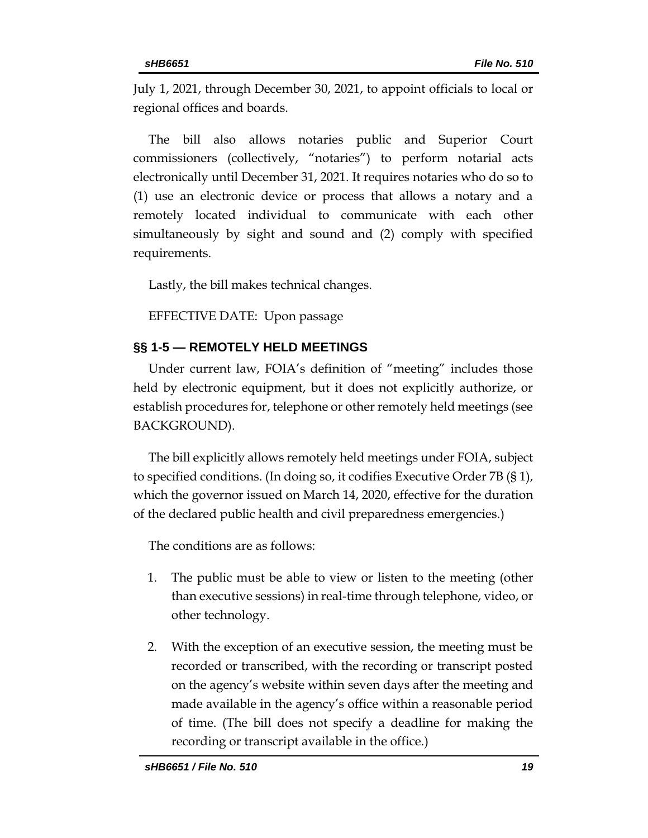July 1, 2021, through December 30, 2021, to appoint officials to local or regional offices and boards.

The bill also allows notaries public and Superior Court commissioners (collectively, "notaries") to perform notarial acts electronically until December 31, 2021. It requires notaries who do so to (1) use an electronic device or process that allows a notary and a remotely located individual to communicate with each other simultaneously by sight and sound and (2) comply with specified requirements.

Lastly, the bill makes technical changes.

EFFECTIVE DATE: Upon passage

## **§§ 1-5 — REMOTELY HELD MEETINGS**

Under current law, FOIA's definition of "meeting" includes those held by electronic equipment, but it does not explicitly authorize, or establish procedures for, telephone or other remotely held meetings (see BACKGROUND).

The bill explicitly allows remotely held meetings under FOIA, subject to specified conditions. (In doing so, it codifies Executive Order 7B (§ 1), which the governor issued on March 14, 2020, effective for the duration of the declared public health and civil preparedness emergencies.)

The conditions are as follows:

- 1. The public must be able to view or listen to the meeting (other than executive sessions) in real-time through telephone, video, or other technology.
- 2. With the exception of an executive session, the meeting must be recorded or transcribed, with the recording or transcript posted on the agency's website within seven days after the meeting and made available in the agency's office within a reasonable period of time. (The bill does not specify a deadline for making the recording or transcript available in the office.)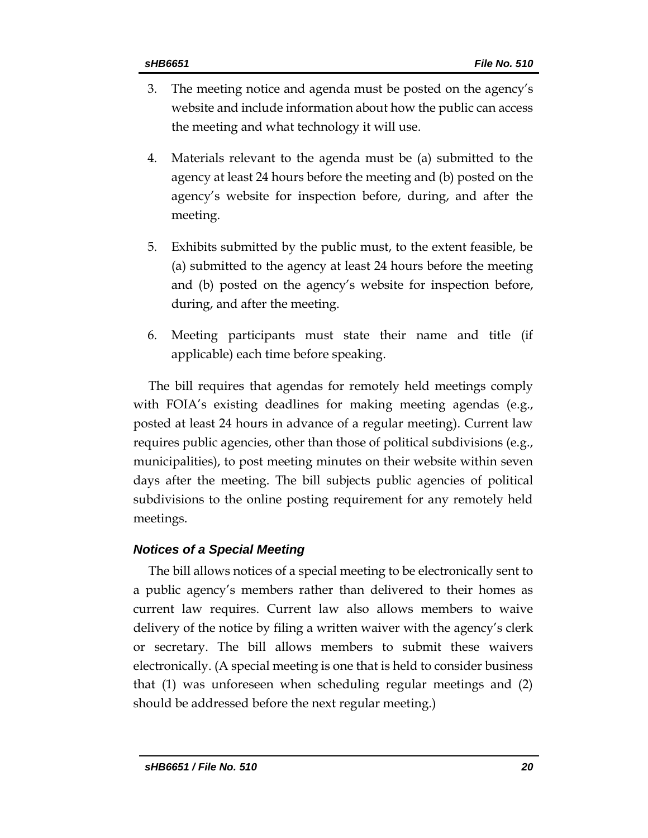- 3. The meeting notice and agenda must be posted on the agency's website and include information about how the public can access the meeting and what technology it will use.
- 4. Materials relevant to the agenda must be (a) submitted to the agency at least 24 hours before the meeting and (b) posted on the agency's website for inspection before, during, and after the meeting.
- 5. Exhibits submitted by the public must, to the extent feasible, be (a) submitted to the agency at least 24 hours before the meeting and (b) posted on the agency's website for inspection before, during, and after the meeting.
- 6. Meeting participants must state their name and title (if applicable) each time before speaking.

The bill requires that agendas for remotely held meetings comply with FOIA's existing deadlines for making meeting agendas (e.g., posted at least 24 hours in advance of a regular meeting). Current law requires public agencies, other than those of political subdivisions (e.g., municipalities), to post meeting minutes on their website within seven days after the meeting. The bill subjects public agencies of political subdivisions to the online posting requirement for any remotely held meetings.

# *Notices of a Special Meeting*

The bill allows notices of a special meeting to be electronically sent to a public agency's members rather than delivered to their homes as current law requires. Current law also allows members to waive delivery of the notice by filing a written waiver with the agency's clerk or secretary. The bill allows members to submit these waivers electronically. (A special meeting is one that is held to consider business that (1) was unforeseen when scheduling regular meetings and (2) should be addressed before the next regular meeting.)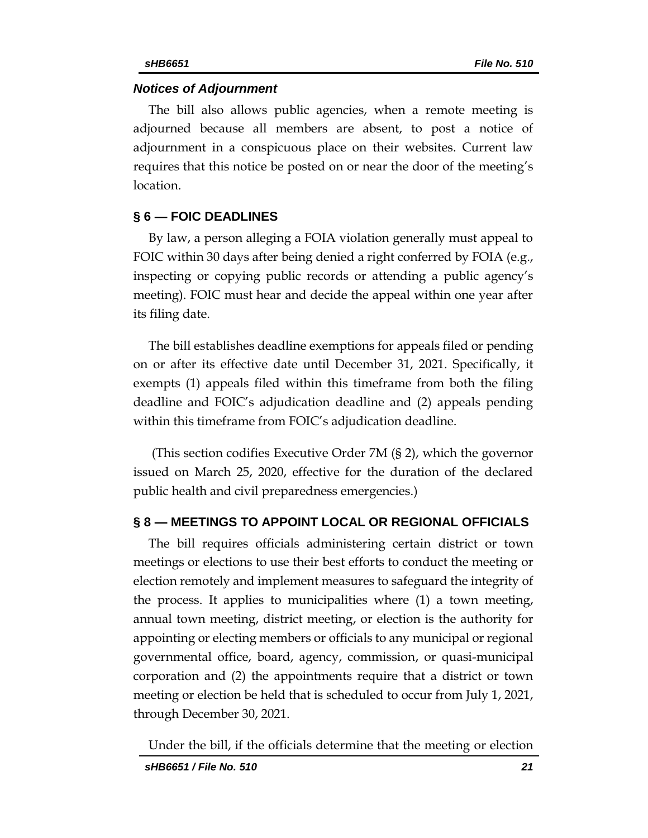#### *Notices of Adjournment*

The bill also allows public agencies, when a remote meeting is adjourned because all members are absent, to post a notice of adjournment in a conspicuous place on their websites. Current law requires that this notice be posted on or near the door of the meeting's location.

#### **§ 6 — FOIC DEADLINES**

By law, a person alleging a FOIA violation generally must appeal to FOIC within 30 days after being denied a right conferred by FOIA (e.g., inspecting or copying public records or attending a public agency's meeting). FOIC must hear and decide the appeal within one year after its filing date.

The bill establishes deadline exemptions for appeals filed or pending on or after its effective date until December 31, 2021. Specifically, it exempts (1) appeals filed within this timeframe from both the filing deadline and FOIC's adjudication deadline and (2) appeals pending within this timeframe from FOIC's adjudication deadline.

(This section codifies Executive Order 7M (§ 2), which the governor issued on March 25, 2020, effective for the duration of the declared public health and civil preparedness emergencies.)

#### **§ 8 — MEETINGS TO APPOINT LOCAL OR REGIONAL OFFICIALS**

The bill requires officials administering certain district or town meetings or elections to use their best efforts to conduct the meeting or election remotely and implement measures to safeguard the integrity of the process. It applies to municipalities where (1) a town meeting, annual town meeting, district meeting, or election is the authority for appointing or electing members or officials to any municipal or regional governmental office, board, agency, commission, or quasi-municipal corporation and (2) the appointments require that a district or town meeting or election be held that is scheduled to occur from July 1, 2021, through December 30, 2021.

Under the bill, if the officials determine that the meeting or election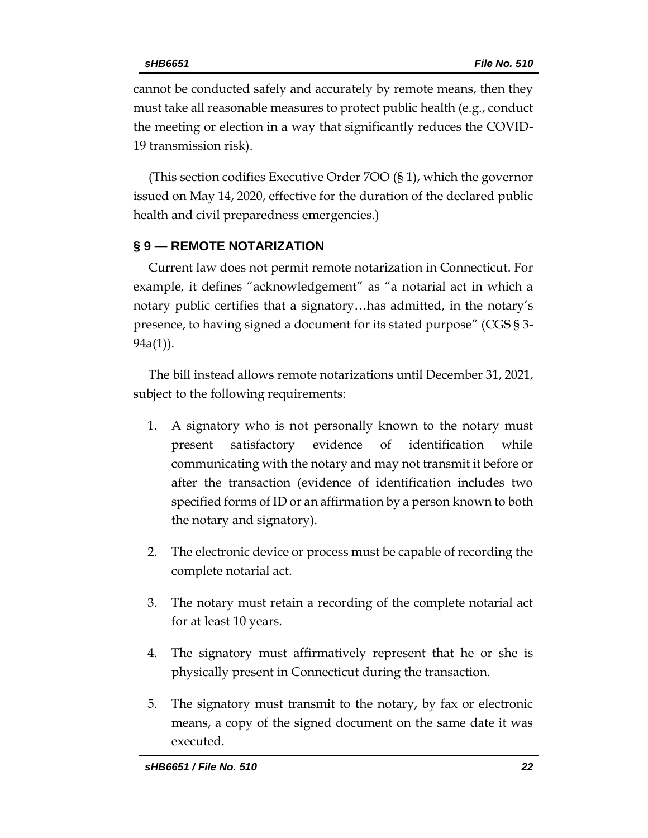cannot be conducted safely and accurately by remote means, then they must take all reasonable measures to protect public health (e.g., conduct the meeting or election in a way that significantly reduces the COVID-19 transmission risk).

(This section codifies Executive Order 7OO (§ 1), which the governor issued on May 14, 2020, effective for the duration of the declared public health and civil preparedness emergencies.)

# **§ 9 — REMOTE NOTARIZATION**

Current law does not permit remote notarization in Connecticut. For example, it defines "acknowledgement" as "a notarial act in which a notary public certifies that a signatory…has admitted, in the notary's presence, to having signed a document for its stated purpose" (CGS § 3- 94a(1)).

The bill instead allows remote notarizations until December 31, 2021, subject to the following requirements:

- 1. A signatory who is not personally known to the notary must present satisfactory evidence of identification while communicating with the notary and may not transmit it before or after the transaction (evidence of identification includes two specified forms of ID or an affirmation by a person known to both the notary and signatory).
- 2. The electronic device or process must be capable of recording the complete notarial act.
- 3. The notary must retain a recording of the complete notarial act for at least 10 years.
- 4. The signatory must affirmatively represent that he or she is physically present in Connecticut during the transaction.
- 5. The signatory must transmit to the notary, by fax or electronic means, a copy of the signed document on the same date it was executed.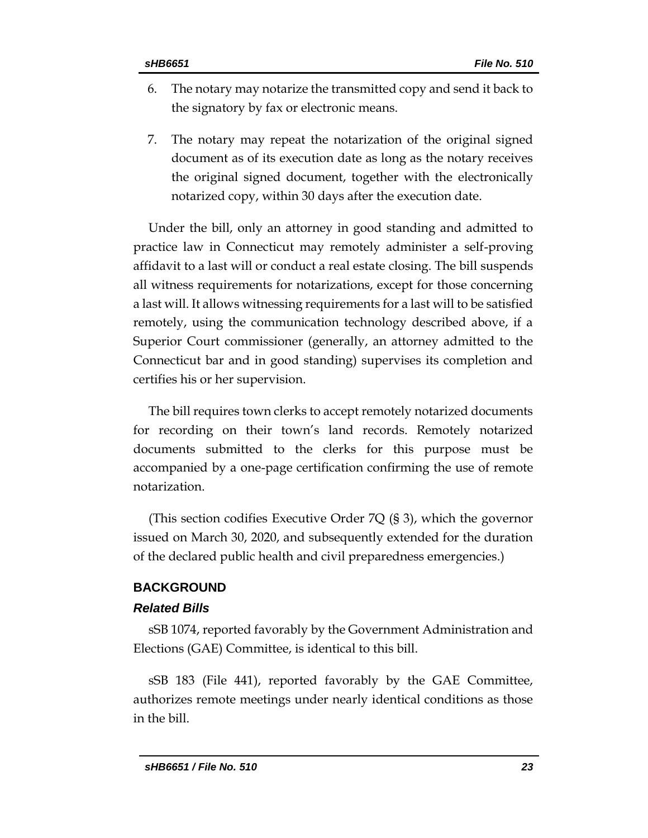- 6. The notary may notarize the transmitted copy and send it back to the signatory by fax or electronic means.
- 7. The notary may repeat the notarization of the original signed document as of its execution date as long as the notary receives the original signed document, together with the electronically notarized copy, within 30 days after the execution date.

Under the bill, only an attorney in good standing and admitted to practice law in Connecticut may remotely administer a self-proving affidavit to a last will or conduct a real estate closing. The bill suspends all witness requirements for notarizations, except for those concerning a last will. It allows witnessing requirements for a last will to be satisfied remotely, using the communication technology described above, if a Superior Court commissioner (generally, an attorney admitted to the Connecticut bar and in good standing) supervises its completion and certifies his or her supervision.

The bill requires town clerks to accept remotely notarized documents for recording on their town's land records. Remotely notarized documents submitted to the clerks for this purpose must be accompanied by a one-page certification confirming the use of remote notarization.

(This section codifies Executive Order 7Q (§ 3), which the governor issued on March 30, 2020, and subsequently extended for the duration of the declared public health and civil preparedness emergencies.)

#### **BACKGROUND**

#### *Related Bills*

sSB 1074, reported favorably by the Government Administration and Elections (GAE) Committee, is identical to this bill.

sSB 183 (File 441), reported favorably by the GAE Committee, authorizes remote meetings under nearly identical conditions as those in the bill.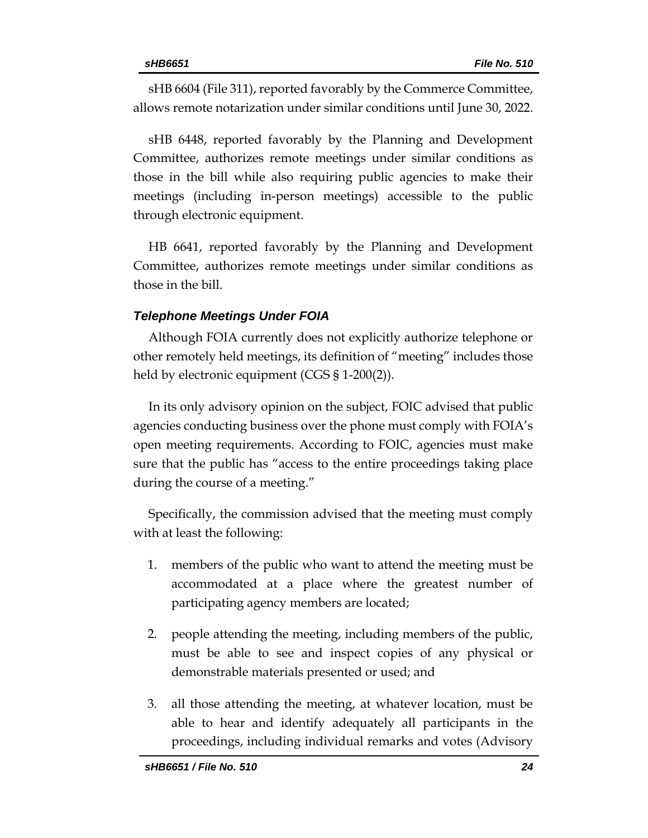sHB 6604 (File 311), reported favorably by the Commerce Committee, allows remote notarization under similar conditions until June 30, 2022.

sHB 6448, reported favorably by the Planning and Development Committee, authorizes remote meetings under similar conditions as those in the bill while also requiring public agencies to make their meetings (including in-person meetings) accessible to the public through electronic equipment.

HB 6641, reported favorably by the Planning and Development Committee, authorizes remote meetings under similar conditions as those in the bill.

# *Telephone Meetings Under FOIA*

Although FOIA currently does not explicitly authorize telephone or other remotely held meetings, its definition of "meeting" includes those held by electronic equipment (CGS § 1-200(2)).

In its only advisory opinion on the subject, FOIC advised that public agencies conducting business over the phone must comply with FOIA's open meeting requirements. According to FOIC, agencies must make sure that the public has "access to the entire proceedings taking place during the course of a meeting."

Specifically, the commission advised that the meeting must comply with at least the following:

- 1. members of the public who want to attend the meeting must be accommodated at a place where the greatest number of participating agency members are located;
- 2. people attending the meeting, including members of the public, must be able to see and inspect copies of any physical or demonstrable materials presented or used; and
- 3. all those attending the meeting, at whatever location, must be able to hear and identify adequately all participants in the proceedings, including individual remarks and votes (Advisory